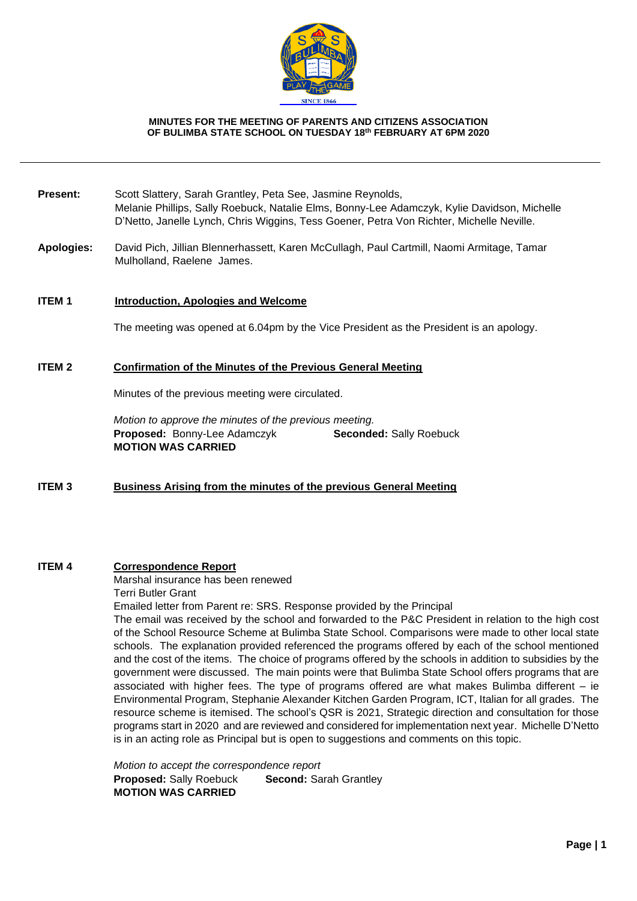

### **MINUTES FOR THE MEETING OF PARENTS AND CITIZENS ASSOCIATION OF BULIMBA STATE SCHOOL ON TUESDAY 18th FEBRUARY AT 6PM 2020**

- **Present:** Scott Slattery, Sarah Grantley, Peta See, Jasmine Reynolds, Melanie Phillips, Sally Roebuck, Natalie Elms, Bonny-Lee Adamczyk, Kylie Davidson, Michelle D'Netto, Janelle Lynch, Chris Wiggins, Tess Goener, Petra Von Richter, Michelle Neville.
- **Apologies:** David Pich, Jillian Blennerhassett, Karen McCullagh, Paul Cartmill, Naomi Armitage, Tamar Mulholland, Raelene James.

### **ITEM 1 Introduction, Apologies and Welcome**

The meeting was opened at 6.04pm by the Vice President as the President is an apology.

### **ITEM 2 Confirmation of the Minutes of the Previous General Meeting**

Minutes of the previous meeting were circulated.

*Motion to approve the minutes of the previous meeting.* **Proposed:** Bonny-Lee Adamczyk **Seconded:** Sally Roebuck **MOTION WAS CARRIED**

# **ITEM 3 Business Arising from the minutes of the previous General Meeting**

## **ITEM 4 Correspondence Report**

Marshal insurance has been renewed Terri Butler Grant

Emailed letter from Parent re: SRS. Response provided by the Principal

The email was received by the school and forwarded to the P&C President in relation to the high cost of the School Resource Scheme at Bulimba State School. Comparisons were made to other local state schools. The explanation provided referenced the programs offered by each of the school mentioned and the cost of the items. The choice of programs offered by the schools in addition to subsidies by the government were discussed. The main points were that Bulimba State School offers programs that are associated with higher fees. The type of programs offered are what makes Bulimba different  $-$  ie Environmental Program, Stephanie Alexander Kitchen Garden Program, ICT, Italian for all grades. The resource scheme is itemised. The school's QSR is 2021, Strategic direction and consultation for those programs start in 2020 and are reviewed and considered for implementation next year. Michelle D'Netto is in an acting role as Principal but is open to suggestions and comments on this topic.

*Motion to accept the correspondence report* **Proposed: Sally Roebuck Second: Sarah Grantley MOTION WAS CARRIED**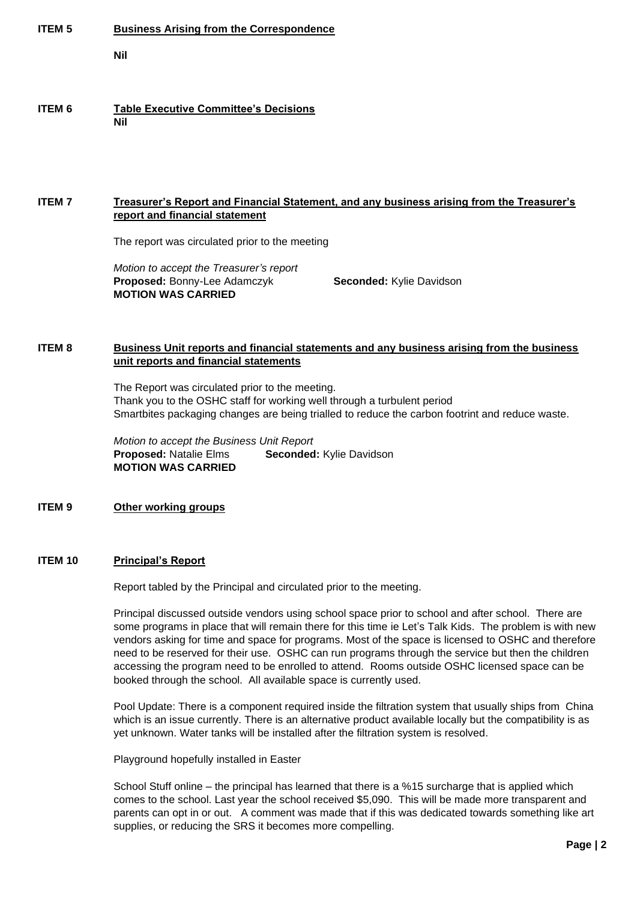| <b>ITEM 5</b> | <b>Business Arising from the Correspondence</b><br>Nil                                                                                                                                                                                                                                                                   |
|---------------|--------------------------------------------------------------------------------------------------------------------------------------------------------------------------------------------------------------------------------------------------------------------------------------------------------------------------|
| <b>ITEM 6</b> | <b>Table Executive Committee's Decisions</b><br><b>Nil</b>                                                                                                                                                                                                                                                               |
| <b>ITEM7</b>  | <b>Treasurer's Report and Financial Statement, and any business arising from the Treasurer's</b><br>report and financial statement<br>The report was circulated prior to the meeting<br>Motion to accept the Treasurer's report<br>Proposed: Bonny-Lee Adamczyk<br>Seconded: Kylie Davidson<br><b>MOTION WAS CARRIED</b> |
| <b>ITEM8</b>  | Business Unit reports and financial statements and any business arising from the business<br>unit reports and financial statements<br>The Report was circulated prior to the meeting.                                                                                                                                    |

The Report was circulated prior to the meeting. Thank you to the OSHC staff for working well through a turbulent period Smartbites packaging changes are being trialled to reduce the carbon footrint and reduce waste.

*Motion to accept the Business Unit Report* **Proposed:** Natalie Elms **Seconded:** Kylie Davidson **MOTION WAS CARRIED**

# **ITEM 9 Other working groups**

# **ITEM 10 Principal's Report**

Report tabled by the Principal and circulated prior to the meeting.

Principal discussed outside vendors using school space prior to school and after school. There are some programs in place that will remain there for this time ie Let's Talk Kids. The problem is with new vendors asking for time and space for programs. Most of the space is licensed to OSHC and therefore need to be reserved for their use. OSHC can run programs through the service but then the children accessing the program need to be enrolled to attend. Rooms outside OSHC licensed space can be booked through the school. All available space is currently used.

Pool Update: There is a component required inside the filtration system that usually ships from China which is an issue currently. There is an alternative product available locally but the compatibility is as yet unknown. Water tanks will be installed after the filtration system is resolved.

Playground hopefully installed in Easter

School Stuff online – the principal has learned that there is a %15 surcharge that is applied which comes to the school. Last year the school received \$5,090. This will be made more transparent and parents can opt in or out. A comment was made that if this was dedicated towards something like art supplies, or reducing the SRS it becomes more compelling.